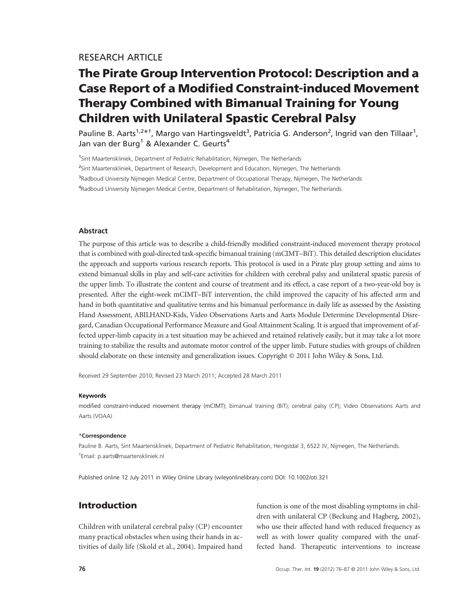# The Pirate Group Intervention Protocol: Description and a Case Report of a Modified Constraint‐induced Movement Therapy Combined with Bimanual Training for Young Children with Unilateral Spastic Cerebral Palsy

Pauline B. Aarts<sup>1,2\*†</sup>, Margo van Hartingsveldt<sup>3</sup>, Patricia G. Anderson<sup>2</sup>, Ingrid van den Tillaar<sup>1</sup>, Jan van der Burg<sup>1</sup> & Alexander C. Geurts<sup>4</sup>

<sup>1</sup>Sint Maartenskliniek, Department of Pediatric Rehabilitation, Nijmegen, The Netherlands

<sup>2</sup>Sint Maartenskliniek, Department of Research, Development and Education, Nijmegen, The Netherlands

<sup>3</sup>Radboud University Nijmegen Medical Centre, Department of Occupational Therapy, Nijmegen, The Netherlands

4 Radboud University Nijmegen Medical Centre, Department of Rehabilitation, Nijmegen, The Netherlands

#### Abstract

The purpose of this article was to describe a child-friendly modified constraint-induced movement therapy protocol that is combined with goal‐directed task‐specific bimanual training (mCIMT–BiT). This detailed description elucidates the approach and supports various research reports. This protocol is used in a Pirate play group setting and aims to extend bimanual skills in play and self-care activities for children with cerebral palsy and unilateral spastic paresis of the upper limb. To illustrate the content and course of treatment and its effect, a case report of a two-year-old boy is presented. After the eight‐week mCIMT–BiT intervention, the child improved the capacity of his affected arm and hand in both quantitative and qualitative terms and his bimanual performance in daily life as assessed by the Assisting Hand Assessment, ABILHAND‐Kids, Video Observations Aarts and Aarts Module Determine Developmental Disregard, Canadian Occupational Performance Measure and Goal Attainment Scaling. It is argued that improvement of affected upper‐limb capacity in a test situation may be achieved and retained relatively easily, but it may take a lot more training to stabilize the results and automate motor control of the upper limb. Future studies with groups of children should elaborate on these intensity and generalization issues. Copyright © 2011 John Wiley & Sons, Ltd.

Received 29 September 2010; Revised 23 March 2011; Accepted 28 March 2011

#### Keywords

modified constraint-induced movement therapy (mCIMT); bimanual training (BiT); cerebral palsy (CP); Video Observations Aarts and Aarts (VOAA)

#### \*Correspondence

Pauline B. Aarts, Sint Maartenskliniek, Department of Pediatric Rehabilitation, Hengstdal 3, 6522 JV, Nijmegen, The Netherlands. † Email: p.aarts@maartenskliniek.nl

Published online 12 July 2011 in Wiley Online Library (wileyonlinelibrary.com) DOI: 10.1002/oti.321

### Introduction

Children with unilateral cerebral palsy (CP) encounter many practical obstacles when using their hands in activities of daily life (Skold et al., 2004). Impaired hand

function is one of the most disabling symptoms in children with unilateral CP (Beckung and Hagberg, 2002), who use their affected hand with reduced frequency as well as with lower quality compared with the unaffected hand. Therapeutic interventions to increase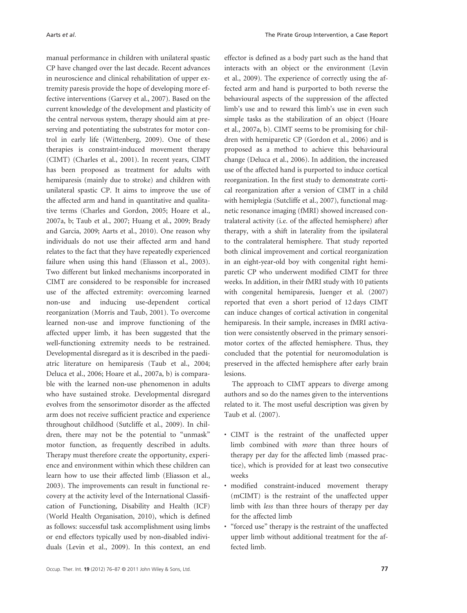manual performance in children with unilateral spastic CP have changed over the last decade. Recent advances in neuroscience and clinical rehabilitation of upper extremity paresis provide the hope of developing more effective interventions (Garvey et al., 2007). Based on the current knowledge of the development and plasticity of the central nervous system, therapy should aim at preserving and potentiating the substrates for motor control in early life (Wittenberg, 2009). One of these therapies is constraint‐induced movement therapy (CIMT) (Charles et al., 2001). In recent years, CIMT has been proposed as treatment for adults with hemiparesis (mainly due to stroke) and children with unilateral spastic CP. It aims to improve the use of the affected arm and hand in quantitative and qualitative terms (Charles and Gordon, 2005; Hoare et al., 2007a, b; Taub et al., 2007; Huang et al., 2009; Brady and Garcia, 2009; Aarts et al., 2010). One reason why individuals do not use their affected arm and hand relates to the fact that they have repeatedly experienced failure when using this hand (Eliasson et al., 2003). Two different but linked mechanisms incorporated in CIMT are considered to be responsible for increased use of the affected extremity: overcoming learned non‐use and inducing use‐dependent cortical reorganization (Morris and Taub, 2001). To overcome learned non‐use and improve functioning of the affected upper limb, it has been suggested that the well-functioning extremity needs to be restrained. Developmental disregard as it is described in the paediatric literature on hemiparesis (Taub et al., 2004; Deluca et al., 2006; Hoare et al., 2007a, b) is comparable with the learned non‐use phenomenon in adults who have sustained stroke. Developmental disregard evolves from the sensorimotor disorder as the affected arm does not receive sufficient practice and experience throughout childhood (Sutcliffe et al., 2009). In children, there may not be the potential to "unmask" motor function, as frequently described in adults. Therapy must therefore create the opportunity, experience and environment within which these children can learn how to use their affected limb (Eliasson et al., 2003). The improvements can result in functional recovery at the activity level of the International Classification of Functioning, Disability and Health (ICF) (World Health Organisation, 2010), which is defined as follows: successful task accomplishment using limbs or end effectors typically used by non‐disabled individuals (Levin et al., 2009). In this context, an end

effector is defined as a body part such as the hand that interacts with an object or the environment (Levin et al., 2009). The experience of correctly using the affected arm and hand is purported to both reverse the behavioural aspects of the suppression of the affected limb's use and to reward this limb's use in even such simple tasks as the stabilization of an object (Hoare et al., 2007a, b). CIMT seems to be promising for children with hemiparetic CP (Gordon et al., 2006) and is proposed as a method to achieve this behavioural change (Deluca et al., 2006). In addition, the increased use of the affected hand is purported to induce cortical reorganization. In the first study to demonstrate cortical reorganization after a version of CIMT in a child with hemiplegia (Sutcliffe et al., 2007), functional magnetic resonance imaging (fMRI) showed increased contralateral activity (i.e. of the affected hemisphere) after therapy, with a shift in laterality from the ipsilateral to the contralateral hemisphere. That study reported both clinical improvement and cortical reorganization in an eight‐year‐old boy with congenital right hemiparetic CP who underwent modified CIMT for three weeks. In addition, in their fMRI study with 10 patients with congenital hemiparesis, Juenger et al. (2007) reported that even a short period of 12 days CIMT can induce changes of cortical activation in congenital hemiparesis. In their sample, increases in fMRI activation were consistently observed in the primary sensorimotor cortex of the affected hemisphere. Thus, they concluded that the potential for neuromodulation is preserved in the affected hemisphere after early brain lesions.

The approach to CIMT appears to diverge among authors and so do the names given to the interventions related to it. The most useful description was given by Taub et al. (2007).

- CIMT is the restraint of the unaffected upper limb combined with more than three hours of therapy per day for the affected limb (massed practice), which is provided for at least two consecutive weeks
- modified constraint-induced movement therapy (mCIMT) is the restraint of the unaffected upper limb with less than three hours of therapy per day for the affected limb
- "forced use" therapy is the restraint of the unaffected upper limb without additional treatment for the affected limb.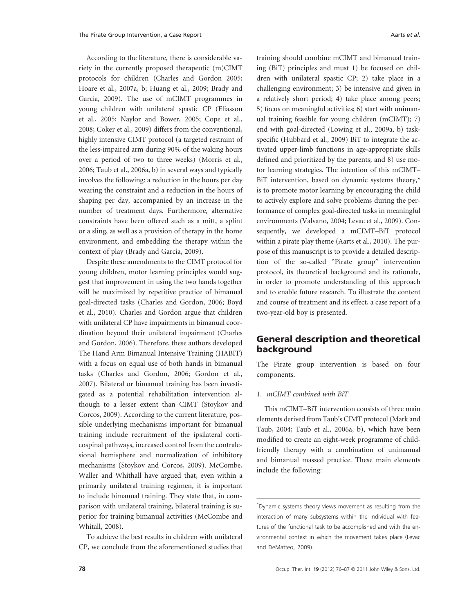According to the literature, there is considerable variety in the currently proposed therapeutic (m)CIMT protocols for children (Charles and Gordon 2005; Hoare et al., 2007a, b; Huang et al., 2009; Brady and Garcia, 2009). The use of mCIMT programmes in young children with unilateral spastic CP (Eliasson et al., 2005; Naylor and Bower, 2005; Cope et al., 2008; Coker et al., 2009) differs from the conventional, highly intensive CIMT protocol (a targeted restraint of the less‐impaired arm during 90% of the waking hours over a period of two to three weeks) (Morris et al., 2006; Taub et al., 2006a, b) in several ways and typically involves the following: a reduction in the hours per day wearing the constraint and a reduction in the hours of shaping per day, accompanied by an increase in the number of treatment days. Furthermore, alternative constraints have been offered such as a mitt, a splint or a sling, as well as a provision of therapy in the home environment, and embedding the therapy within the context of play (Brady and Garcia, 2009).

Despite these amendments to the CIMT protocol for young children, motor learning principles would suggest that improvement in using the two hands together will be maximized by repetitive practice of bimanual goal‐directed tasks (Charles and Gordon, 2006; Boyd et al., 2010). Charles and Gordon argue that children with unilateral CP have impairments in bimanual coordination beyond their unilateral impairment (Charles and Gordon, 2006). Therefore, these authors developed The Hand Arm Bimanual Intensive Training (HABIT) with a focus on equal use of both hands in bimanual tasks (Charles and Gordon, 2006; Gordon et al., 2007). Bilateral or bimanual training has been investigated as a potential rehabilitation intervention although to a lesser extent than CIMT (Stoykov and Corcos, 2009). According to the current literature, possible underlying mechanisms important for bimanual training include recruitment of the ipsilateral corticospinal pathways, increased control from the contralesional hemisphere and normalization of inhibitory mechanisms (Stoykov and Corcos, 2009). McCombe, Waller and Whithall have argued that, even within a primarily unilateral training regimen, it is important to include bimanual training. They state that, in comparison with unilateral training, bilateral training is superior for training bimanual activities (McCombe and Whitall, 2008).

To achieve the best results in children with unilateral CP, we conclude from the aforementioned studies that training should combine mCIMT and bimanual training (BiT) principles and must 1) be focused on children with unilateral spastic CP; 2) take place in a challenging environment; 3) be intensive and given in a relatively short period; 4) take place among peers; 5) focus on meaningful activities; 6) start with unimanual training feasible for young children (mCIMT); 7) end with goal-directed (Lowing et al., 2009a, b) taskspecific (Hubbard et al., 2009) BiT to integrate the activated upper‐limb functions in age‐appropriate skills defined and prioritized by the parents; and 8) use motor learning strategies. The intention of this mCIMT– BiT intervention, based on dynamic systems theory,\* is to promote motor learning by encouraging the child to actively explore and solve problems during the performance of complex goal‐directed tasks in meaningful environments (Valvano, 2004; Levac et al., 2009). Consequently, we developed a mCIMT–BiT protocol within a pirate play theme (Aarts et al., 2010). The purpose of this manuscript is to provide a detailed description of the so-called "Pirate group" intervention protocol, its theoretical background and its rationale, in order to promote understanding of this approach and to enable future research. To illustrate the content and course of treatment and its effect, a case report of a two‐year‐old boy is presented.

### General description and theoretical background

The Pirate group intervention is based on four components.

#### 1. mCIMT combined with BiT

This mCIMT–BiT intervention consists of three main elements derived from Taub's CIMT protocol (Mark and Taub, 2004; Taub et al., 2006a, b), which have been modified to create an eight‐week programme of child‐ friendly therapy with a combination of unimanual and bimanual massed practice. These main elements include the following:

<sup>\*</sup> Dynamic systems theory views movement as resulting from the interaction of many subsystems within the individual with features of the functional task to be accomplished and with the environmental context in which the movement takes place (Levac and DeMatteo, 2009).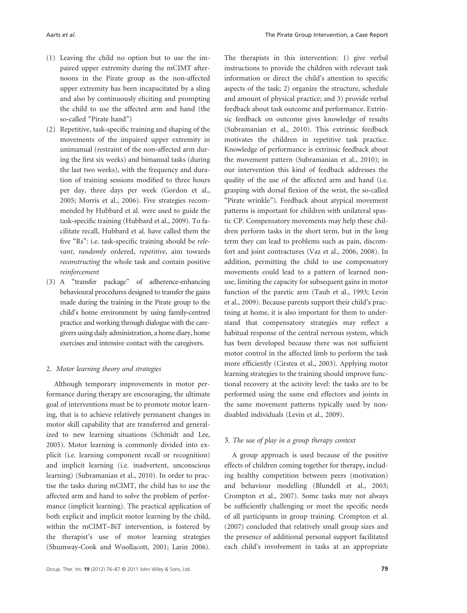- (1) Leaving the child no option but to use the impaired upper extremity during the mCIMT afternoons in the Pirate group as the non‐affected upper extremity has been incapacitated by a sling and also by continuously eliciting and prompting the child to use the affected arm and hand (the so‐called "Pirate hand")
- (2) Repetitive, task‐specific training and shaping of the movements of the impaired upper extremity in unimanual (restraint of the non‐affected arm during the first six weeks) and bimanual tasks (during the last two weeks), with the frequency and duration of training sessions modified to three hours per day, three days per week (Gordon et al., 2005; Morris et al., 2006). Five strategies recommended by Hubbard et al. were used to guide the task‐specific training (Hubbard et al., 2009). To facilitate recall, Hubbard et al. have called them the five "Rs": i.e. task‐specific training should be relevant, randomly ordered, repetitive, aim towards reconstructing the whole task and contain positive reinforcement
- (3) A "transfer package" of adherence‐enhancing behavioural procedures designed to transfer the gains made during the training in the Pirate group to the child's home environment by using family‐centred practice and working through dialogue with the caregivers using daily administration, a home diary, home exercises and intensive contact with the caregivers.

### 2. Motor learning theory and strategies

Although temporary improvements in motor performance during therapy are encouraging, the ultimate goal of interventions must be to promote motor learning, that is to achieve relatively permanent changes in motor skill capability that are transferred and generalized to new learning situations (Schmidt and Lee, 2005). Motor learning is commonly divided into explicit (i.e. learning component recall or recognition) and implicit learning (i.e. inadvertent, unconscious learning) (Subramanian et al., 2010). In order to practise the tasks during mCIMT, the child has to use the affected arm and hand to solve the problem of performance (implicit learning). The practical application of both explicit and implicit motor learning by the child, within the mCIMT–BiT intervention, is fostered by the therapist's use of motor learning strategies (Shumway‐Cook and Woollacott, 2001; Larin 2006).

The therapists in this intervention: 1) give verbal instructions to provide the children with relevant task information or direct the child's attention to specific aspects of the task; 2) organize the structure, schedule and amount of physical practice; and 3) provide verbal feedback about task outcome and performance. Extrinsic feedback on outcome gives knowledge of results (Subramanian et al., 2010). This extrinsic feedback motivates the children in repetitive task practice. Knowledge of performance is extrinsic feedback about the movement pattern (Subramanian et al., 2010); in our intervention this kind of feedback addresses the quality of the use of the affected arm and hand (i.e. grasping with dorsal flexion of the wrist, the so-called "Pirate wrinkle"). Feedback about atypical movement patterns is important for children with unilateral spastic CP. Compensatory movements may help these children perform tasks in the short term, but in the long term they can lead to problems such as pain, discomfort and joint contractures (Vaz et al., 2006, 2008). In addition, permitting the child to use compensatory movements could lead to a pattern of learned nonuse, limiting the capacity for subsequent gains in motor function of the paretic arm (Taub et al., 1993; Levin et al., 2009). Because parents support their child's practising at home, it is also important for them to understand that compensatory strategies may reflect a habitual response of the central nervous system, which has been developed because there was not sufficient motor control in the affected limb to perform the task more efficiently (Cirstea et al., 2003). Applying motor learning strategies to the training should improve functional recovery at the activity level: the tasks are to be performed using the same end effectors and joints in the same movement patterns typically used by nondisabled individuals (Levin et al., 2009).

### 3. The use of play in a group therapy context

A group approach is used because of the positive effects of children coming together for therapy, including healthy competition between peers (motivation) and behaviour modelling (Blundell et al., 2003; Crompton et al., 2007). Some tasks may not always be sufficiently challenging or meet the specific needs of all participants in group training. Crompton et al. (2007) concluded that relatively small group sizes and the presence of additional personal support facilitated each child's involvement in tasks at an appropriate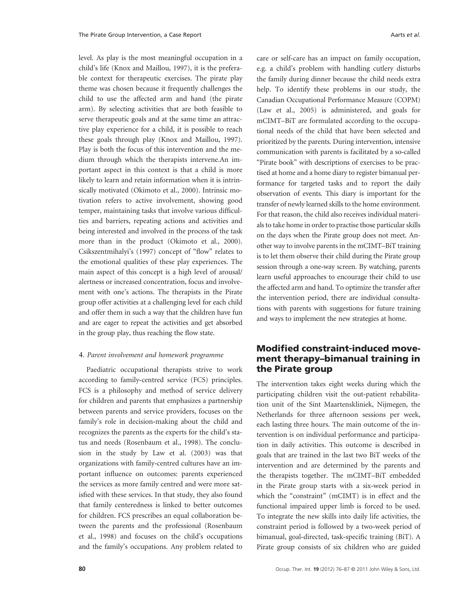level. As play is the most meaningful occupation in a child's life (Knox and Maillou, 1997), it is the preferable context for therapeutic exercises. The pirate play theme was chosen because it frequently challenges the child to use the affected arm and hand (the pirate arm). By selecting activities that are both feasible to serve therapeutic goals and at the same time an attractive play experience for a child, it is possible to reach these goals through play (Knox and Maillou, 1997). Play is both the focus of this intervention and the medium through which the therapists intervene.An important aspect in this context is that a child is more likely to learn and retain information when it is intrinsically motivated (Okimoto et al., 2000). Intrinsic motivation refers to active involvement, showing good temper, maintaining tasks that involve various difficulties and barriers, repeating actions and activities and being interested and involved in the process of the task more than in the product (Okimoto et al., 2000). Csikszentmihalyi's (1997) concept of "flow" relates to the emotional qualities of these play experiences. The main aspect of this concept is a high level of arousal/ alertness or increased concentration, focus and involvement with one's actions. The therapists in the Pirate group offer activities at a challenging level for each child and offer them in such a way that the children have fun and are eager to repeat the activities and get absorbed in the group play, thus reaching the flow state.

#### 4. Parent involvement and homework programme

Paediatric occupational therapists strive to work according to family‐centred service (FCS) principles. FCS is a philosophy and method of service delivery for children and parents that emphasizes a partnership between parents and service providers, focuses on the family's role in decision‐making about the child and recognizes the parents as the experts for the child's status and needs (Rosenbaum et al., 1998). The conclusion in the study by Law et al. (2003) was that organizations with family‐centred cultures have an important influence on outcomes: parents experienced the services as more family centred and were more satisfied with these services. In that study, they also found that family centeredness is linked to better outcomes for children. FCS prescribes an equal collaboration between the parents and the professional (Rosenbaum et al., 1998) and focuses on the child's occupations and the family's occupations. Any problem related to

care or self‐care has an impact on family occupation, e.g. a child's problem with handling cutlery disturbs the family during dinner because the child needs extra help. To identify these problems in our study, the Canadian Occupational Performance Measure (COPM) (Law et al., 2005) is administered, and goals for mCIMT–BiT are formulated according to the occupational needs of the child that have been selected and prioritized by the parents. During intervention, intensive communication with parents is facilitated by a so-called "Pirate book" with descriptions of exercises to be practised at home and a home diary to register bimanual performance for targeted tasks and to report the daily observation of events. This diary is important for the transfer of newly learned skills to the home environment. For that reason, the child also receives individual materials to take home in order to practise those particular skills on the days when the Pirate group does not meet. Another way to involve parents in the mCIMT–BiT training is to let them observe their child during the Pirate group session through a one‐way screen. By watching, parents learn useful approaches to encourage their child to use the affected arm and hand. To optimize the transfer after the intervention period, there are individual consultations with parents with suggestions for future training and ways to implement the new strategies at home.

### Modified constraint‐induced movement therapy–bimanual training in the Pirate group

The intervention takes eight weeks during which the participating children visit the out‐patient rehabilitation unit of the Sint Maartenskliniek, Nijmegen, the Netherlands for three afternoon sessions per week, each lasting three hours. The main outcome of the intervention is on individual performance and participation in daily activities. This outcome is described in goals that are trained in the last two BiT weeks of the intervention and are determined by the parents and the therapists together. The mCIMT–BiT embedded in the Pirate group starts with a six‐week period in which the "constraint" (mCIMT) is in effect and the functional impaired upper limb is forced to be used. To integrate the new skills into daily life activities, the constraint period is followed by a two‐week period of bimanual, goal‐directed, task‐specific training (BiT). A Pirate group consists of six children who are guided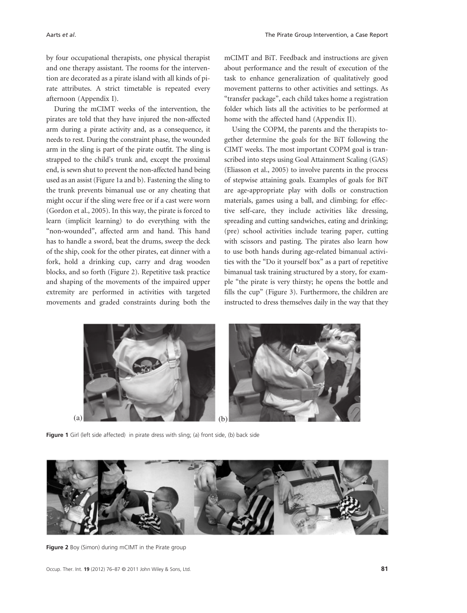by four occupational therapists, one physical therapist and one therapy assistant. The rooms for the intervention are decorated as a pirate island with all kinds of pirate attributes. A strict timetable is repeated every afternoon (Appendix I).

During the mCIMT weeks of the intervention, the pirates are told that they have injured the non‐affected arm during a pirate activity and, as a consequence, it needs to rest. During the constraint phase, the wounded arm in the sling is part of the pirate outfit. The sling is strapped to the child's trunk and, except the proximal end, is sewn shut to prevent the non-affected hand being used as an assist (Figure 1a and b). Fastening the sling to the trunk prevents bimanual use or any cheating that might occur if the sling were free or if a cast were worn (Gordon et al., 2005). In this way, the pirate is forced to learn (implicit learning) to do everything with the "non‐wounded", affected arm and hand. This hand has to handle a sword, beat the drums, sweep the deck of the ship, cook for the other pirates, eat dinner with a fork, hold a drinking cup, carry and drag wooden blocks, and so forth (Figure 2). Repetitive task practice and shaping of the movements of the impaired upper extremity are performed in activities with targeted movements and graded constraints during both the

mCIMT and BiT. Feedback and instructions are given about performance and the result of execution of the task to enhance generalization of qualitatively good movement patterns to other activities and settings. As "transfer package", each child takes home a registration folder which lists all the activities to be performed at home with the affected hand (Appendix II).

Using the COPM, the parents and the therapists together determine the goals for the BiT following the CIMT weeks. The most important COPM goal is transcribed into steps using Goal Attainment Scaling (GAS) (Eliasson et al., 2005) to involve parents in the process of stepwise attaining goals. Examples of goals for BiT are age‐appropriate play with dolls or construction materials, games using a ball, and climbing; for effective self‐care, they include activities like dressing, spreading and cutting sandwiches, eating and drinking; (pre) school activities include tearing paper, cutting with scissors and pasting. The pirates also learn how to use both hands during age-related bimanual activities with the "Do it yourself box" as a part of repetitive bimanual task training structured by a story, for example "the pirate is very thirsty; he opens the bottle and fills the cup" (Figure 3). Furthermore, the children are instructed to dress themselves daily in the way that they



Figure 1 Girl (left side affected) in pirate dress with sling; (a) front side, (b) back side



Figure 2 Boy (Simon) during mCIMT in the Pirate group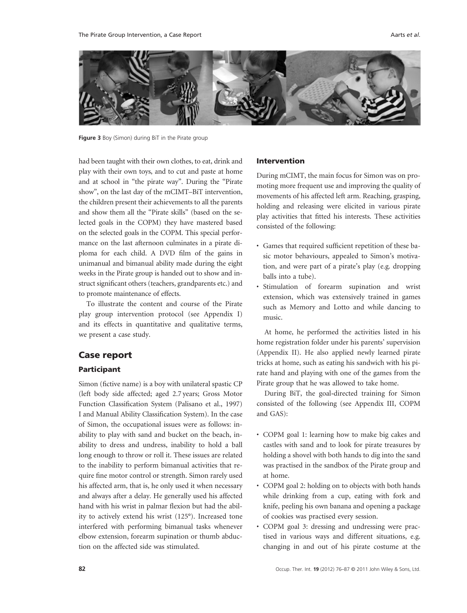

Figure 3 Boy (Simon) during BiT in the Pirate group

had been taught with their own clothes, to eat, drink and play with their own toys, and to cut and paste at home and at school in "the pirate way". During the "Pirate show", on the last day of the mCIMT–BiT intervention, the children present their achievements to all the parents and show them all the "Pirate skills" (based on the selected goals in the COPM) they have mastered based on the selected goals in the COPM. This special performance on the last afternoon culminates in a pirate diploma for each child. A DVD film of the gains in unimanual and bimanual ability made during the eight weeks in the Pirate group is handed out to show and instruct significant others (teachers, grandparents etc.) and to promote maintenance of effects.

To illustrate the content and course of the Pirate play group intervention protocol (see Appendix I) and its effects in quantitative and qualitative terms, we present a case study.

### Case report

### Participant

Simon (fictive name) is a boy with unilateral spastic CP (left body side affected; aged 2.7 years; Gross Motor Function Classification System (Palisano et al., 1997) I and Manual Ability Classification System). In the case of Simon, the occupational issues were as follows: inability to play with sand and bucket on the beach, inability to dress and undress, inability to hold a ball long enough to throw or roll it. These issues are related to the inability to perform bimanual activities that require fine motor control or strength. Simon rarely used his affected arm, that is, he only used it when necessary and always after a delay. He generally used his affected hand with his wrist in palmar flexion but had the ability to actively extend his wrist (125°). Increased tone interfered with performing bimanual tasks whenever elbow extension, forearm supination or thumb abduction on the affected side was stimulated.

#### Intervention

During mCIMT, the main focus for Simon was on promoting more frequent use and improving the quality of movements of his affected left arm. Reaching, grasping, holding and releasing were elicited in various pirate play activities that fitted his interests. These activities consisted of the following:

- Games that required sufficient repetition of these basic motor behaviours, appealed to Simon's motivation, and were part of a pirate's play (e.g. dropping balls into a tube).
- Stimulation of forearm supination and wrist extension, which was extensively trained in games such as Memory and Lotto and while dancing to music.

At home, he performed the activities listed in his home registration folder under his parents' supervision (Appendix II). He also applied newly learned pirate tricks at home, such as eating his sandwich with his pirate hand and playing with one of the games from the Pirate group that he was allowed to take home.

During BiT, the goal‐directed training for Simon consisted of the following (see Appendix III, COPM and GAS):

- COPM goal 1: learning how to make big cakes and castles with sand and to look for pirate treasures by holding a shovel with both hands to dig into the sand was practised in the sandbox of the Pirate group and at home.
- COPM goal 2: holding on to objects with both hands while drinking from a cup, eating with fork and knife, peeling his own banana and opening a package of cookies was practised every session.
- COPM goal 3: dressing and undressing were practised in various ways and different situations, e.g. changing in and out of his pirate costume at the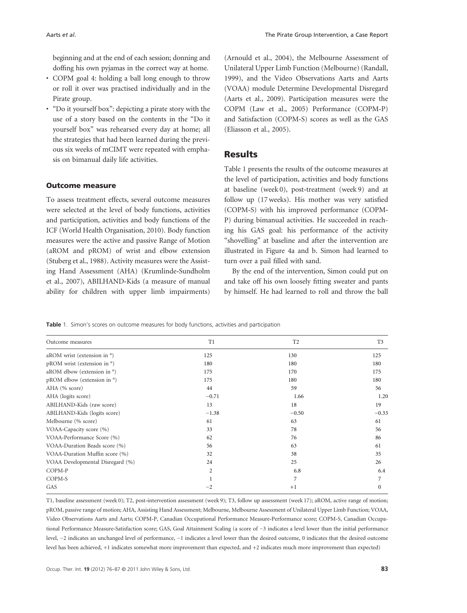beginning and at the end of each session; donning and doffing his own pyjamas in the correct way at home.

- COPM goal 4: holding a ball long enough to throw or roll it over was practised individually and in the Pirate group.
- "Do it yourself box": depicting a pirate story with the use of a story based on the contents in the "Do it yourself box" was rehearsed every day at home; all the strategies that had been learned during the previous six weeks of mCIMT were repeated with emphasis on bimanual daily life activities.

### Outcome measure

To assess treatment effects, several outcome measures were selected at the level of body functions, activities and participation, activities and body functions of the ICF (World Health Organisation, 2010). Body function measures were the active and passive Range of Motion (aROM and pROM) of wrist and elbow extension (Stuberg et al., 1988). Activity measures were the Assisting Hand Assessment (AHA) (Krumlinde‐Sundholm et al., 2007), ABILHAND‐Kids (a measure of manual ability for children with upper limb impairments)

(Arnould et al., 2004), the Melbourne Assessment of Unilateral Upper Limb Function (Melbourne) (Randall, 1999), and the Video Observations Aarts and Aarts (VOAA) module Determine Developmental Disregard (Aarts et al., 2009). Participation measures were the COPM (Law et al., 2005) Performance (COPM‐P) and Satisfaction (COPM‐S) scores as well as the GAS (Eliasson et al., 2005).

### Results

Table 1 presents the results of the outcome measures at the level of participation, activities and body functions at baseline (week 0), post‐treatment (week 9) and at follow up (17 weeks). His mother was very satisfied (COPM‐S) with his improved performance (COPM‐ P) during bimanual activities. He succeeded in reaching his GAS goal: his performance of the activity "shovelling" at baseline and after the intervention are illustrated in Figure 4a and b. Simon had learned to turn over a pail filled with sand.

By the end of the intervention, Simon could put on and take off his own loosely fitting sweater and pants by himself. He had learned to roll and throw the ball

Table 1. Simon's scores on outcome measures for body functions, activities and participation

| Outcome measures                 | T1      | T <sub>2</sub> | T3             |
|----------------------------------|---------|----------------|----------------|
| aROM wrist (extension in °)      | 125     | 130            | 125            |
| pROM wrist (extension in °)      | 180     | 180            | 180            |
| aROM elbow (extension in °)      | 175     | 170            | 175            |
| pROM elbow (extension in °)      | 175     | 180            | 180            |
| AHA (% score)                    | 44      | 59             | 56             |
| AHA (logits score)               | $-0.71$ | 1.66           | 1.20           |
| ABILHAND-Kids (raw score)        | 13      | 18             | 19             |
| ABILHAND-Kids (logits score)     | $-1.38$ | $-0.50$        | $-0.33$        |
| Melbourne (% score)              | 61      | 63             | 61             |
| VOAA-Capacity score (%)          | 33      | 78             | 56             |
| VOAA-Performance Score (%)       | 62      | 76             | 86             |
| VOAA-Duration Beads score (%)    | 56      | 63             | 61             |
| VOAA-Duration Muffin score (%)   | 32      | 38             | 35             |
| VOAA Developmental Disregard (%) | 24      | 25             | 26             |
| COPM-P                           | 2       | 6.8            | 6.4            |
| COPM-S                           |         | $\overline{7}$ | $\overline{7}$ |
| <b>GAS</b>                       | $^{-2}$ | $+1$           | $\mathbf{0}$   |

T1, baseline assessment (week 0); T2, post‐intervention assessment (week 9); T3, follow up assessment (week 17); aROM, active range of motion; pROM, passive range of motion; AHA, Assisting Hand Assessment; Melbourne, Melbourne Assessment of Unilateral Upper Limb Function; VOAA, Video Observations Aarts and Aarts; COPM‐P, Canadian Occupational Performance Measure‐Performance score; COPM‐S, Canadian Occupational Performance Measure‐Satisfaction score; GAS, Goal Attainment Scaling (a score of −3 indicates a level lower than the initial performance level, −2 indicates an unchanged level of performance, −1 indicates a level lower than the desired outcome, 0 indicates that the desired outcome level has been achieved, +1 indicates somewhat more improvement than expected, and +2 indicates much more improvement than expected)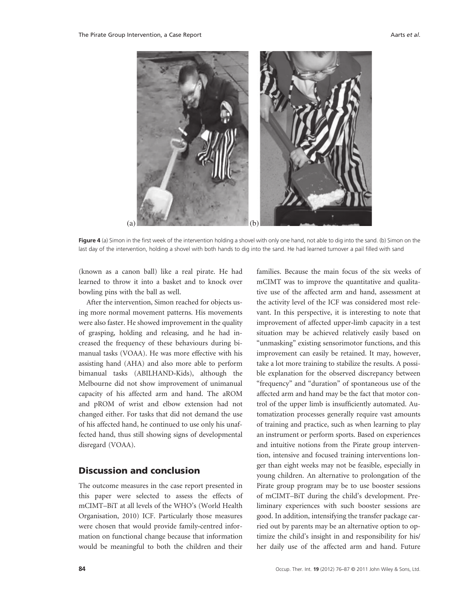

Figure 4 (a) Simon in the first week of the intervention holding a shovel with only one hand, not able to dig into the sand. (b) Simon on the last day of the intervention, holding a shovel with both hands to dig into the sand. He had learned turnover a pail filled with sand

(known as a canon ball) like a real pirate. He had learned to throw it into a basket and to knock over bowling pins with the ball as well.

After the intervention, Simon reached for objects using more normal movement patterns. His movements were also faster. He showed improvement in the quality of grasping, holding and releasing, and he had increased the frequency of these behaviours during bimanual tasks (VOAA). He was more effective with his assisting hand (AHA) and also more able to perform bimanual tasks (ABILHAND‐Kids), although the Melbourne did not show improvement of unimanual capacity of his affected arm and hand. The aROM and pROM of wrist and elbow extension had not changed either. For tasks that did not demand the use of his affected hand, he continued to use only his unaffected hand, thus still showing signs of developmental disregard (VOAA).

### Discussion and conclusion

The outcome measures in the case report presented in this paper were selected to assess the effects of mCIMT–BiT at all levels of the WHO's (World Health Organisation, 2010) ICF. Particularly those measures were chosen that would provide family‐centred information on functional change because that information would be meaningful to both the children and their

families. Because the main focus of the six weeks of mCIMT was to improve the quantitative and qualitative use of the affected arm and hand, assessment at the activity level of the ICF was considered most relevant. In this perspective, it is interesting to note that improvement of affected upper‐limb capacity in a test situation may be achieved relatively easily based on "unmasking" existing sensorimotor functions, and this improvement can easily be retained. It may, however, take a lot more training to stabilize the results. A possible explanation for the observed discrepancy between "frequency" and "duration" of spontaneous use of the affected arm and hand may be the fact that motor control of the upper limb is insufficiently automated. Automatization processes generally require vast amounts of training and practice, such as when learning to play an instrument or perform sports. Based on experiences and intuitive notions from the Pirate group intervention, intensive and focused training interventions longer than eight weeks may not be feasible, especially in young children. An alternative to prolongation of the Pirate group program may be to use booster sessions of mCIMT–BiT during the child's development. Preliminary experiences with such booster sessions are good. In addition, intensifying the transfer package carried out by parents may be an alternative option to optimize the child's insight in and responsibility for his/ her daily use of the affected arm and hand. Future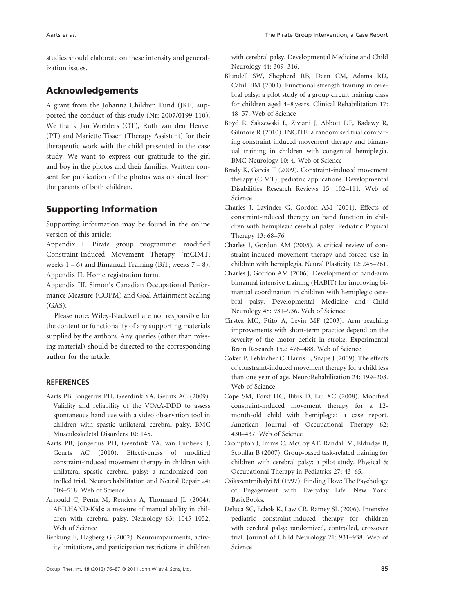studies should elaborate on these intensity and generalization issues.

### Acknowledgements

A grant from the Johanna Children Fund (JKF) supported the conduct of this study (Nr: 2007/0199‐110). We thank Jan Wielders (OT), Ruth van den Heuvel (PT) and Mariëtte Tissen (Therapy Assistant) for their therapeutic work with the child presented in the case study. We want to express our gratitude to the girl and boy in the photos and their families. Written consent for publication of the photos was obtained from the parents of both children.

## Supporting Information

Supporting information may be found in the online version of this article:

Appendix I. Pirate group programme: modified Constraint‐Induced Movement Therapy (mCIMT; weeks  $1 - 6$ ) and Bimanual Training (BiT; weeks  $7 - 8$ ). Appendix II. Home registration form.

Appendix III. Simon's Canadian Occupational Performance Measure (COPM) and Goal Attainment Scaling (GAS).

Please note: Wiley-Blackwell are not responsible for the content or functionality of any supporting materials supplied by the authors. Any queries (other than missing material) should be directed to the corresponding author for the article.

### **REFERENCES**

- Aarts PB, Jongerius PH, Geerdink YA, Geurts AC (2009). Validity and reliability of the VOAA‐DDD to assess spontaneous hand use with a video observation tool in children with spastic unilateral cerebral palsy. BMC Musculoskeletal Disorders 10: 145.
- Aarts PB, Jongerius PH, Geerdink YA, van Limbeek J, Geurts AC (2010). Effectiveness of modified constraint‐induced movement therapy in children with unilateral spastic cerebral palsy: a randomized controlled trial. Neurorehabilitation and Neural Repair 24: 509–518. Web of Science
- Arnould C, Penta M, Renders A, Thonnard JL (2004). ABILHAND‐Kids: a measure of manual ability in children with cerebral palsy. Neurology 63: 1045–1052. Web of Science
- Beckung E, Hagberg G (2002). Neuroimpairments, activity limitations, and participation restrictions in children

with cerebral palsy. Developmental Medicine and Child Neurology 44: 309–316.

- Blundell SW, Shepherd RB, Dean CM, Adams RD, Cahill BM (2003). Functional strength training in cerebral palsy: a pilot study of a group circuit training class for children aged 4–8 years. Clinical Rehabilitation 17: 48–57. Web of Science
- Boyd R, Sakzewski L, Ziviani J, Abbott DF, Badawy R, Gilmore R (2010). INCITE: a randomised trial comparing constraint induced movement therapy and bimanual training in children with congenital hemiplegia. BMC Neurology 10: 4. Web of Science
- Brady K, Garcia T (2009). Constraint‐induced movement therapy (CIMT): pediatric applications. Developmental Disabilities Research Reviews 15: 102–111. Web of Science
- Charles J, Lavinder G, Gordon AM (2001). Effects of constraint‐induced therapy on hand function in children with hemiplegic cerebral palsy. Pediatric Physical Therapy 13: 68–76.
- Charles J, Gordon AM (2005). A critical review of constraint‐induced movement therapy and forced use in children with hemiplegia. Neural Plasticity 12: 245–261.
- Charles J, Gordon AM (2006). Development of hand‐arm bimanual intensive training (HABIT) for improving bimanual coordination in children with hemiplegic cerebral palsy. Developmental Medicine and Child Neurology 48: 931–936. Web of Science
- Cirstea MC, Ptito A, Levin MF (2003). Arm reaching improvements with short-term practice depend on the severity of the motor deficit in stroke. Experimental Brain Research 152: 476–488. Web of Science
- Coker P, Lebkicher C, Harris L, Snape J (2009). The effects of constraint‐induced movement therapy for a child less than one year of age. NeuroRehabilitation 24: 199–208. Web of Science
- Cope SM, Forst HC, Bibis D, Liu XC (2008). Modified constraint-induced movement therapy for a 12month‐old child with hemiplegia: a case report. American Journal of Occupational Therapy 62: 430–437. Web of Science
- Crompton J, Imms C, McCoy AT, Randall M, Eldridge B, Scoullar B (2007). Group‐based task‐related training for children with cerebral palsy: a pilot study. Physical & Occupational Therapy in Pediatrics 27: 43–65.
- Csikszentmihalyi M (1997). Finding Flow: The Psychology of Engagement with Everyday Life. New York: BasicBooks.
- Deluca SC, Echols K, Law CR, Ramey SL (2006). Intensive pediatric constraint‐induced therapy for children with cerebral palsy: randomized, controlled, crossover trial. Journal of Child Neurology 21: 931–938. Web of Science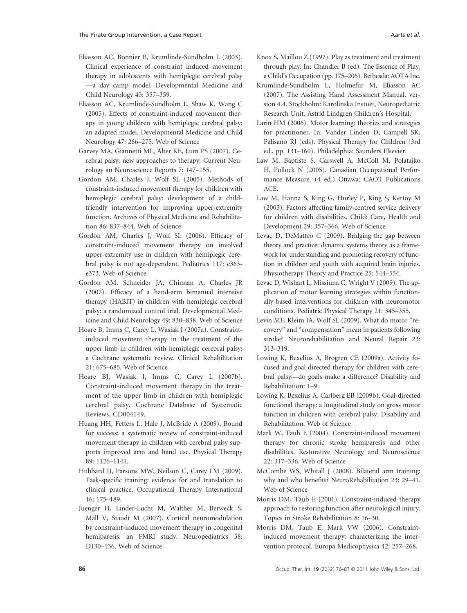- Eliasson AC, Bonnier B, Krumlinde‐Sundholm L (2003). Clinical experience of constraint induced movement therapy in adolescents with hemiplegic cerebral palsy —a day camp model. Developmental Medicine and Child Neurology 45: 357–359.
- Eliasson AC, Krumlinde‐Sundholm L, Shaw K, Wang C (2005). Effects of constraint-induced movement therapy in young children with hemiplegic cerebral palsy: an adapted model. Developmental Medicine and Child Neurology 47: 266–275. Web of Science
- Garvey MA, Giannetti ML, Alter KE, Lum PS (2007). Cerebral palsy: new approaches to therapy. Current Neurology an Neuroscience Reports 7: 147–155.
- Gordon AM, Charles J, Wolf SL (2005). Methods of constraint‐induced movement therapy for children with hemiplegic cerebral palsy: development of a childfriendly intervention for improving upper‐extremity function. Archives of Physical Medicine and Rehabilitation 86: 837–844. Web of Science
- Gordon AM, Charles J, Wolf SL (2006). Efficacy of constraint‐induced movement therapy on involved upper‐extremity use in children with hemiplegic cerebral palsy is not age‐dependent. Pediatrics 117: e363‐ e373. Web of Science
- Gordon AM, Schneider JA, Chinnan A, Charles JR (2007). Efficacy of a hand‐arm bimanual intensive therapy (HABIT) in children with hemiplegic cerebral palsy: a randomized control trial. Developmental Medicine and Child Neurology 49: 830–838. Web of Science
- Hoare B, Imms C, Carey L, Wasiak J (2007a). Constraint‐ induced movement therapy in the treatment of the upper limb in children with hemiplegic cerebral palsy: a Cochrane systematic review. Clinical Rehabilitation 21: 675–685. Web of Science
- Hoare BJ, Wasiak J, Imms C, Carey L (2007b). Constraint‐induced movement therapy in the treatment of the upper limb in children with hemiplegic cerebral palsy. Cochrane Database of Systematic Reviews, CD004149.
- Huang HH, Fetters L, Hale J, McBride A (2009). Bound for success: a systematic review of constraint-induced movement therapy in children with cerebral palsy supports improved arm and hand use. Physical Therapy 89: 1126–1141.
- Hubbard IJ, Parsons MW, Neilson C, Carey LM (2009). Task‐specific training: evidence for and translation to clinical practice. Occupational Therapy International 16: 175–189.
- Juenger H, Linder‐Lucht M, Walther M, Berweck S, Mall V, Staudt M (2007). Cortical neuromodulation by constraint‐induced movement therapy in congenital hemiparesis: an FMRI study. Neuropediatrics 38: D130–136. Web of Science
- Knox S, Maillou Z (1997). Play as treatment and treatment through play. In: Chandler B (ed). The Essence of Play, a Child's Occupation (pp. 175–206). Bethesda: AOTA Inc.
- Krumlinde‐Sundholm L, Holmefur M, Eliasson AC (2007). The Assisting Hand Assessment Manual, version 4.4. Stockholm: Karolinska Instuet, Neuropediatric Research Unit, Astrid Lindgren Children's Hospital.
- Larin HM (2006). Motor learning: theories and strategies for practitioner. In: Vander Linden D, Campell SK, Palisano RJ (eds). Physical Therapy for Children (3rd ed., pp. 131–160). Philadelphia: Saunders Elsevier.
- Law M, Baptiste S, Carswell A, McColl M, Polatajko H, Pollock N (2005). Canadian Occupational Performance Measure. (4 ed.) Ottawa: CAOT Publications ACE.
- Law M, Hanna S, King G, Hurley P, King S, Kertoy M (2003). Factors affecting family‐centred service delivery for children with disabilities. Child: Care, Health and Development 29: 357–366. Web of Science
- Levac D, DeMatteo C (2009). Bridging the gap between theory and practice: dynamic systems theory as a framework for understanding and promoting recovery of function in children and youth with acquired brain injuries. Physiotherapy Theory and Practice 25: 544–554.
- Levac D, Wishart L, Missiuna C, Wright V (2009). The application of motor learning strategies within functionally based interventions for children with neuromotor conditions. Pediatric Physical Therapy 21: 345–355.
- Levin MF, Kleim JA, Wolf SL (2009). What do motor "recovery" and "compensation" mean in patients following stroke? Neurorehabilitation and Neural Repair 23: 313–319.
- Lowing K, Bexelius A, Brogren CE (2009a). Activity focused and goal directed therapy for children with cerebral palsy—do goals make a difference? Disability and Rehabilitation: 1–9.
- Lowing K, Bexelius A, Carlberg EB (2009b). Goal‐directed functional therapy: a longitudinal study on gross motor function in children with cerebral palsy. Disability and Rehabilitation. Web of Science
- Mark W, Taub E (2004). Constraint‐induced movement therapy for chronic stroke hemiparesis and other disabilities. Restorative Neurology and Neuroscience 22: 317–336. Web of Science
- McCombe WS, Whitall J (2008). Bilateral arm training: why and who benefits? NeuroRehabilitation 23: 29–41. Web of Science
- Morris DM, Taub E (2001). Constraint‐induced therapy approach to restoring function after neurological injury. Topics in Stroke Rehabilitation 8: 16–30.
- Morris DM, Taub E, Mark VW (2006). Constraint‐ induced movement therapy: characterizing the intervention protocol. Europa Medicophysica 42: 257–268.